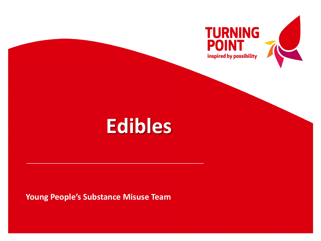

**Young People's Substance Misuse Team**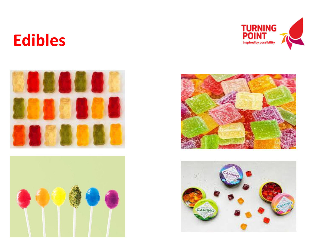







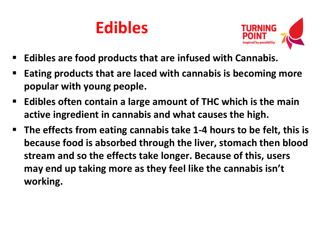

- **Edibles are food products that are infused with Cannabis.**
- **Eating products that are laced with cannabis is becoming more popular with young people.**
- **Edibles often contain a large amount of THC which is the main active ingredient in cannabis and what causes the high.**
- **The effects from eating cannabis take 1-4 hours to be felt, this is because food is absorbed through the liver, stomach then blood stream and so the effects take longer. Because of this, users may end up taking more as they feel like the cannabis isn't working.**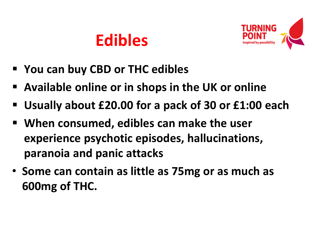

- **You can buy CBD or THC edibles**
- **Available online or in shops in the UK or online**
- **Usually about £20.00 for a pack of 30 or £1:00 each**
- **When consumed, edibles can make the user experience psychotic episodes, hallucinations, paranoia and panic attacks**
- **Some can contain as little as 75mg or as much as 600mg of THC.**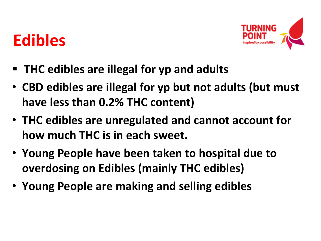

- **THC edibles are illegal for yp and adults**
- **CBD edibles are illegal for yp but not adults (but must have less than 0.2% THC content)**
- **THC edibles are unregulated and cannot account for how much THC is in each sweet.**
- **Young People have been taken to hospital due to overdosing on Edibles (mainly THC edibles)**
- **Young People are making and selling edibles**